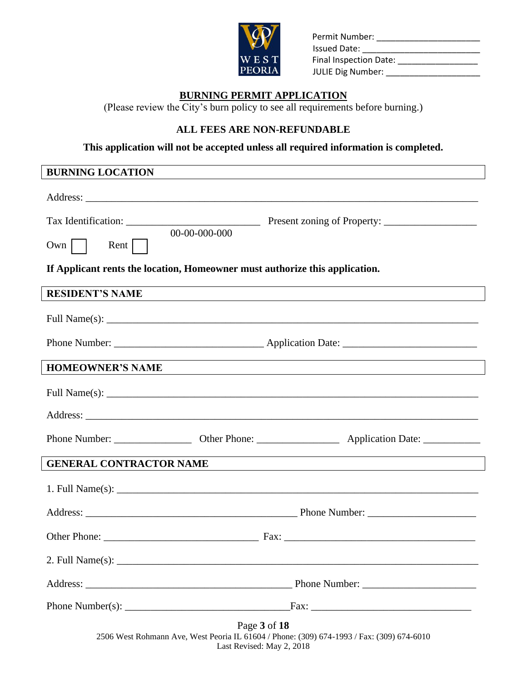

| <b>VO</b>     | Permit Number:<br><b>Issued Date:</b> |
|---------------|---------------------------------------|
| WEST          | Final Inspection Date:                |
| <b>PEORIA</b> | <b>JULIE Dig Number:</b>              |

### **BURNING PERMIT APPLICATION**

(Please review the City's burn policy to see all requirements before burning.)

### **ALL FEES ARE NON-REFUNDABLE**

**This application will not be accepted unless all required information is completed.**

### **BURNING LOCATION**

| 00-00-000-000<br>$\mathsf{Rent}$  <br>$Own$                                                                                                                                                                                                                               |                                                                                                                      |  |  |  |  |
|---------------------------------------------------------------------------------------------------------------------------------------------------------------------------------------------------------------------------------------------------------------------------|----------------------------------------------------------------------------------------------------------------------|--|--|--|--|
| If Applicant rents the location, Homeowner must authorize this application.                                                                                                                                                                                               |                                                                                                                      |  |  |  |  |
| <b>RESIDENT'S NAME</b>                                                                                                                                                                                                                                                    | ,我们也不会有什么。""我们的人,我们也不会有什么?""我们的人,我们也不会有什么?""我们的人,我们也不会有什么?""我们的人,我们也不会有什么?""我们的人                                     |  |  |  |  |
|                                                                                                                                                                                                                                                                           |                                                                                                                      |  |  |  |  |
|                                                                                                                                                                                                                                                                           |                                                                                                                      |  |  |  |  |
| <b>HOMEOWNER'S NAME</b>                                                                                                                                                                                                                                                   | ,我们也不会有什么。""我们的人,我们也不会有什么?""我们的人,我们也不会有什么?""我们的人,我们也不会有什么?""我们的人,我们也不会有什么?""我们的人                                     |  |  |  |  |
| Full Name(s): $\frac{1}{2}$ Name(s): $\frac{1}{2}$ Name(s): $\frac{1}{2}$ Name(s): $\frac{1}{2}$ Name(s): $\frac{1}{2}$ Name(s): $\frac{1}{2}$ Name(s): $\frac{1}{2}$ Name(s): $\frac{1}{2}$ Name(s): $\frac{1}{2}$ Name(s): $\frac{1}{2}$ Name(s): $\frac{1}{2}$ Name(s) |                                                                                                                      |  |  |  |  |
|                                                                                                                                                                                                                                                                           |                                                                                                                      |  |  |  |  |
|                                                                                                                                                                                                                                                                           | Phone Number: ______________________ Other Phone: _______________________________ Application Date: ________________ |  |  |  |  |
| <b>GENERAL CONTRACTOR NAME</b>                                                                                                                                                                                                                                            |                                                                                                                      |  |  |  |  |
|                                                                                                                                                                                                                                                                           |                                                                                                                      |  |  |  |  |
|                                                                                                                                                                                                                                                                           |                                                                                                                      |  |  |  |  |
|                                                                                                                                                                                                                                                                           |                                                                                                                      |  |  |  |  |
|                                                                                                                                                                                                                                                                           |                                                                                                                      |  |  |  |  |
|                                                                                                                                                                                                                                                                           |                                                                                                                      |  |  |  |  |
| Phone Number(s): $\frac{1}{\frac{1}{2} \sum_{i=1}^{n} x_i^2 + \cdots + x_i^2}$                                                                                                                                                                                            |                                                                                                                      |  |  |  |  |
|                                                                                                                                                                                                                                                                           | Page 3 of 18<br>2506 West Rohmann Ave, West Peoria IL 61604 / Phone: (309) 674-1993 / Fax: (309) 674-6010            |  |  |  |  |

Last Revised: May 2, 2018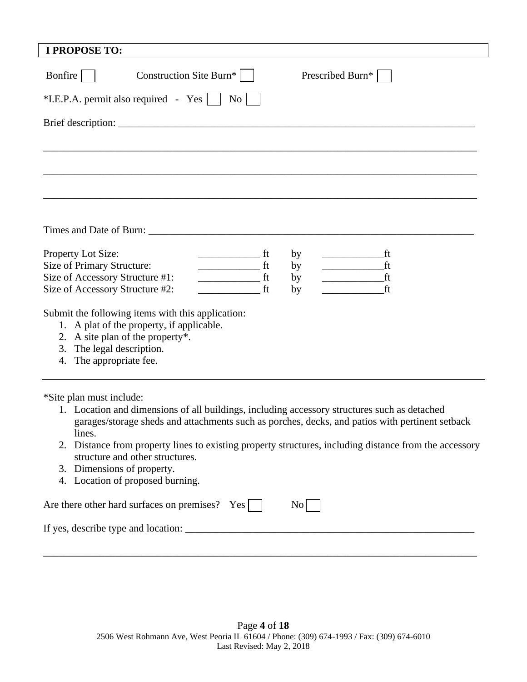| Bonfire<br>Construction Site Burn*<br>Prescribed Burn*<br>$*$ I.E.P.A. permit also required - Yes $\vert \vert$<br>N <sub>0</sub><br>Property Lot Size:<br>by<br>ft<br>ft<br>Size of Primary Structure:<br>ft<br>by<br>Size of Accessory Structure #1:<br>ft<br>ft<br>by<br>Size of Accessory Structure #2:<br>ft<br>ft<br>by<br>Submit the following items with this application:<br>1. A plat of the property, if applicable.<br>2. A site plan of the property*.<br>3. The legal description.<br>4. The appropriate fee.<br>*Site plan must include:<br>1. Location and dimensions of all buildings, including accessory structures such as detached<br>garages/storage sheds and attachments such as porches, decks, and patios with pertinent setback<br>lines.<br>2. Distance from property lines to existing property structures, including distance from the accessory<br>structure and other structures.<br>3. Dimensions of property.<br>4. Location of proposed burning.<br>Are there other hard surfaces on premises? Yes<br>No | <b>I PROPOSE TO:</b> |  |
|---------------------------------------------------------------------------------------------------------------------------------------------------------------------------------------------------------------------------------------------------------------------------------------------------------------------------------------------------------------------------------------------------------------------------------------------------------------------------------------------------------------------------------------------------------------------------------------------------------------------------------------------------------------------------------------------------------------------------------------------------------------------------------------------------------------------------------------------------------------------------------------------------------------------------------------------------------------------------------------------------------------------------------------------|----------------------|--|
|                                                                                                                                                                                                                                                                                                                                                                                                                                                                                                                                                                                                                                                                                                                                                                                                                                                                                                                                                                                                                                             |                      |  |
|                                                                                                                                                                                                                                                                                                                                                                                                                                                                                                                                                                                                                                                                                                                                                                                                                                                                                                                                                                                                                                             |                      |  |
|                                                                                                                                                                                                                                                                                                                                                                                                                                                                                                                                                                                                                                                                                                                                                                                                                                                                                                                                                                                                                                             |                      |  |
|                                                                                                                                                                                                                                                                                                                                                                                                                                                                                                                                                                                                                                                                                                                                                                                                                                                                                                                                                                                                                                             |                      |  |
|                                                                                                                                                                                                                                                                                                                                                                                                                                                                                                                                                                                                                                                                                                                                                                                                                                                                                                                                                                                                                                             |                      |  |
|                                                                                                                                                                                                                                                                                                                                                                                                                                                                                                                                                                                                                                                                                                                                                                                                                                                                                                                                                                                                                                             |                      |  |
|                                                                                                                                                                                                                                                                                                                                                                                                                                                                                                                                                                                                                                                                                                                                                                                                                                                                                                                                                                                                                                             |                      |  |
|                                                                                                                                                                                                                                                                                                                                                                                                                                                                                                                                                                                                                                                                                                                                                                                                                                                                                                                                                                                                                                             |                      |  |
|                                                                                                                                                                                                                                                                                                                                                                                                                                                                                                                                                                                                                                                                                                                                                                                                                                                                                                                                                                                                                                             |                      |  |
|                                                                                                                                                                                                                                                                                                                                                                                                                                                                                                                                                                                                                                                                                                                                                                                                                                                                                                                                                                                                                                             |                      |  |
|                                                                                                                                                                                                                                                                                                                                                                                                                                                                                                                                                                                                                                                                                                                                                                                                                                                                                                                                                                                                                                             |                      |  |
|                                                                                                                                                                                                                                                                                                                                                                                                                                                                                                                                                                                                                                                                                                                                                                                                                                                                                                                                                                                                                                             |                      |  |
|                                                                                                                                                                                                                                                                                                                                                                                                                                                                                                                                                                                                                                                                                                                                                                                                                                                                                                                                                                                                                                             |                      |  |
|                                                                                                                                                                                                                                                                                                                                                                                                                                                                                                                                                                                                                                                                                                                                                                                                                                                                                                                                                                                                                                             |                      |  |
|                                                                                                                                                                                                                                                                                                                                                                                                                                                                                                                                                                                                                                                                                                                                                                                                                                                                                                                                                                                                                                             |                      |  |
|                                                                                                                                                                                                                                                                                                                                                                                                                                                                                                                                                                                                                                                                                                                                                                                                                                                                                                                                                                                                                                             |                      |  |
|                                                                                                                                                                                                                                                                                                                                                                                                                                                                                                                                                                                                                                                                                                                                                                                                                                                                                                                                                                                                                                             |                      |  |
|                                                                                                                                                                                                                                                                                                                                                                                                                                                                                                                                                                                                                                                                                                                                                                                                                                                                                                                                                                                                                                             |                      |  |
|                                                                                                                                                                                                                                                                                                                                                                                                                                                                                                                                                                                                                                                                                                                                                                                                                                                                                                                                                                                                                                             |                      |  |
|                                                                                                                                                                                                                                                                                                                                                                                                                                                                                                                                                                                                                                                                                                                                                                                                                                                                                                                                                                                                                                             |                      |  |
|                                                                                                                                                                                                                                                                                                                                                                                                                                                                                                                                                                                                                                                                                                                                                                                                                                                                                                                                                                                                                                             |                      |  |
|                                                                                                                                                                                                                                                                                                                                                                                                                                                                                                                                                                                                                                                                                                                                                                                                                                                                                                                                                                                                                                             |                      |  |
|                                                                                                                                                                                                                                                                                                                                                                                                                                                                                                                                                                                                                                                                                                                                                                                                                                                                                                                                                                                                                                             |                      |  |
|                                                                                                                                                                                                                                                                                                                                                                                                                                                                                                                                                                                                                                                                                                                                                                                                                                                                                                                                                                                                                                             |                      |  |
|                                                                                                                                                                                                                                                                                                                                                                                                                                                                                                                                                                                                                                                                                                                                                                                                                                                                                                                                                                                                                                             |                      |  |
|                                                                                                                                                                                                                                                                                                                                                                                                                                                                                                                                                                                                                                                                                                                                                                                                                                                                                                                                                                                                                                             |                      |  |
|                                                                                                                                                                                                                                                                                                                                                                                                                                                                                                                                                                                                                                                                                                                                                                                                                                                                                                                                                                                                                                             |                      |  |
|                                                                                                                                                                                                                                                                                                                                                                                                                                                                                                                                                                                                                                                                                                                                                                                                                                                                                                                                                                                                                                             |                      |  |

┚

L

\_\_\_\_\_\_\_\_\_\_\_\_\_\_\_\_\_\_\_\_\_\_\_\_\_\_\_\_\_\_\_\_\_\_\_\_\_\_\_\_\_\_\_\_\_\_\_\_\_\_\_\_\_\_\_\_\_\_\_\_\_\_\_\_\_\_\_\_\_\_\_\_\_\_\_\_\_\_\_\_\_\_\_\_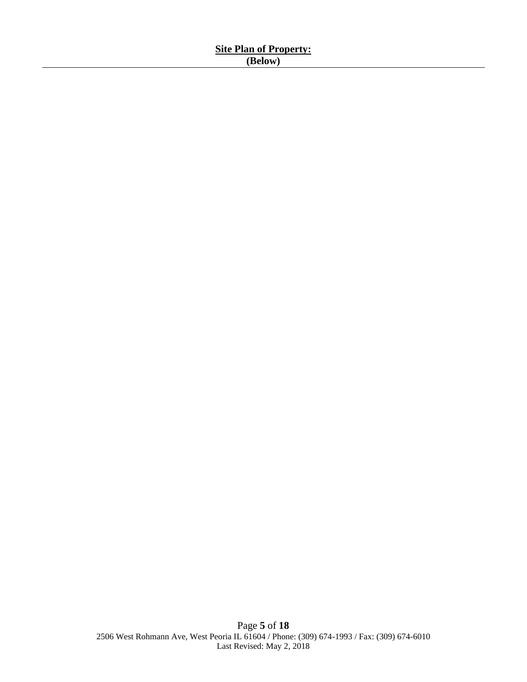| <b>Site Plan of Property:</b> |  |
|-------------------------------|--|
| 'elow)                        |  |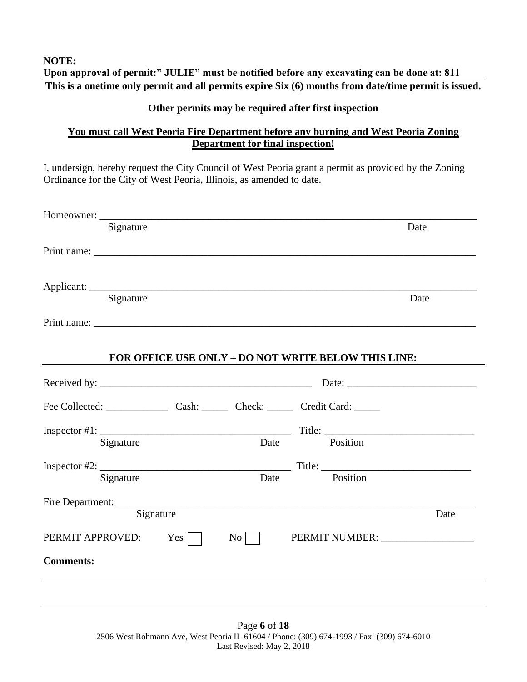#### **NOTE: Upon approval of permit:" JULIE" must be notified before any excavating can be done at: 811 This is a onetime only permit and all permits expire Six (6) months from date/time permit is issued.**

### **Other permits may be required after first inspection**

### **You must call West Peoria Fire Department before any burning and West Peoria Zoning Department for final inspection!**

I, undersign, hereby request the City Council of West Peoria grant a permit as provided by the Zoning Ordinance for the City of West Peoria, Illinois, as amended to date.

| Signature                                             |           |                  |                                                     | Date |
|-------------------------------------------------------|-----------|------------------|-----------------------------------------------------|------|
|                                                       |           |                  |                                                     |      |
|                                                       |           |                  |                                                     |      |
|                                                       |           |                  |                                                     |      |
| Signature                                             |           |                  |                                                     | Date |
|                                                       |           |                  |                                                     |      |
|                                                       |           |                  |                                                     |      |
|                                                       |           |                  | FOR OFFICE USE ONLY - DO NOT WRITE BELOW THIS LINE: |      |
|                                                       |           |                  |                                                     |      |
| Fee Collected: Cash: Cash: Check: Check: Credit Card: |           |                  |                                                     |      |
|                                                       |           |                  |                                                     |      |
| Signature                                             |           | Date             | Position                                            |      |
|                                                       |           |                  |                                                     |      |
|                                                       |           |                  |                                                     |      |
| Signature                                             |           |                  | Date Position                                       |      |
|                                                       |           |                  |                                                     |      |
|                                                       | Signature |                  |                                                     | Date |
| Fire Department:<br>PERMIT APPROVED: Yes              |           | $\overline{N_0}$ |                                                     |      |

Page **6** of **18** 2506 West Rohmann Ave, West Peoria IL 61604 / Phone: (309) 674-1993 / Fax: (309) 674-6010 Last Revised: May 2, 2018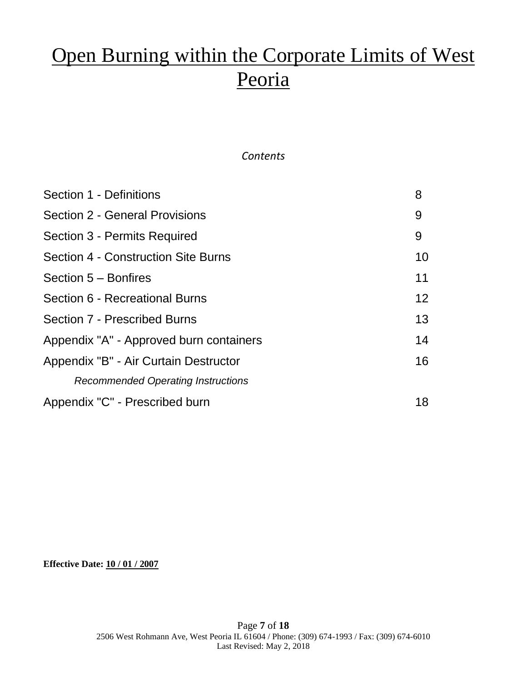# Open Burning within the Corporate Limits of West Peoria

### *Contents*

| Section 1 - Definitions                   | 8                 |
|-------------------------------------------|-------------------|
| Section 2 - General Provisions            | 9                 |
| Section 3 - Permits Required              | 9                 |
| Section 4 - Construction Site Burns       | 10                |
| Section 5 - Bonfires                      | 11                |
| Section 6 - Recreational Burns            | $12 \overline{ }$ |
| <b>Section 7 - Prescribed Burns</b>       | 13                |
| Appendix "A" - Approved burn containers   | 14                |
| Appendix "B" - Air Curtain Destructor     | 16                |
| <b>Recommended Operating Instructions</b> |                   |
| Appendix "C" - Prescribed burn            | 18                |

**Effective Date: 10 / 01 / 2007**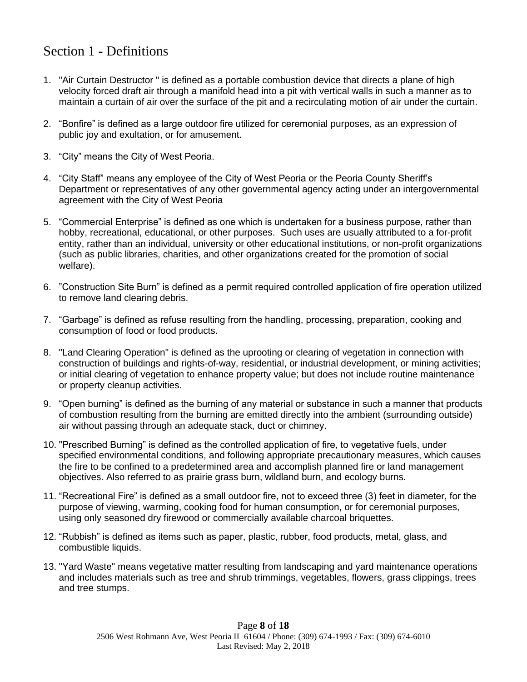# Section 1 - Definitions

- 1. "Air Curtain Destructor " is defined as a portable combustion device that directs a plane of high velocity forced draft air through a manifold head into a pit with vertical walls in such a manner as to maintain a curtain of air over the surface of the pit and a recirculating motion of air under the curtain.
- 2. "Bonfire" is defined as a large outdoor fire utilized for ceremonial purposes, as an expression of public joy and exultation, or for amusement.
- 3. "City" means the City of West Peoria.
- 4. "City Staff" means any employee of the City of West Peoria or the Peoria County Sheriff's Department or representatives of any other governmental agency acting under an intergovernmental agreement with the City of West Peoria
- 5. "Commercial Enterprise" is defined as one which is undertaken for a business purpose, rather than hobby, recreational, educational, or other purposes. Such uses are usually attributed to a for-profit entity, rather than an individual, university or other educational institutions, or non-profit organizations (such as public libraries, charities, and other organizations created for the promotion of social welfare).
- 6. "Construction Site Burn" is defined as a permit required controlled application of fire operation utilized to remove land clearing debris.
- 7. "Garbage" is defined as refuse resulting from the handling, processing, preparation, cooking and consumption of food or food products.
- 8. "Land Clearing Operation" is defined as the uprooting or clearing of vegetation in connection with construction of buildings and rights-of-way, residential, or industrial development, or mining activities; or initial clearing of vegetation to enhance property value; but does not include routine maintenance or property cleanup activities.
- 9. "Open burning" is defined as the burning of any material or substance in such a manner that products of combustion resulting from the burning are emitted directly into the ambient (surrounding outside) air without passing through an adequate stack, duct or chimney.
- 10. "Prescribed Burning" is defined as the controlled application of fire, to vegetative fuels, under specified environmental conditions, and following appropriate precautionary measures, which causes the fire to be confined to a predetermined area and accomplish planned fire or land management objectives. Also referred to as prairie grass burn, wildland burn, and ecology burns.
- 11. "Recreational Fire" is defined as a small outdoor fire, not to exceed three (3) feet in diameter, for the purpose of viewing, warming, cooking food for human consumption, or for ceremonial purposes, using only seasoned dry firewood or commercially available charcoal briquettes.
- 12. "Rubbish" is defined as items such as paper, plastic, rubber, food products, metal, glass, and combustible liquids.
- 13. "Yard Waste" means vegetative matter resulting from landscaping and yard maintenance operations and includes materials such as tree and shrub trimmings, vegetables, flowers, grass clippings, trees and tree stumps.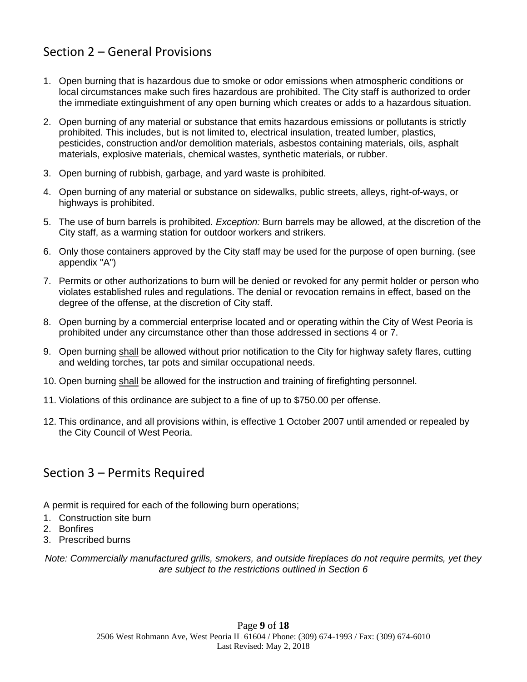# Section 2 – General Provisions

- 1. Open burning that is hazardous due to smoke or odor emissions when atmospheric conditions or local circumstances make such fires hazardous are prohibited. The City staff is authorized to order the immediate extinguishment of any open burning which creates or adds to a hazardous situation.
- 2. Open burning of any material or substance that emits hazardous emissions or pollutants is strictly prohibited. This includes, but is not limited to, electrical insulation, treated lumber, plastics, pesticides, construction and/or demolition materials, asbestos containing materials, oils, asphalt materials, explosive materials, chemical wastes, synthetic materials, or rubber.
- 3. Open burning of rubbish, garbage, and yard waste is prohibited.
- 4. Open burning of any material or substance on sidewalks, public streets, alleys, right-of-ways, or highways is prohibited.
- 5. The use of burn barrels is prohibited. *Exception:* Burn barrels may be allowed, at the discretion of the City staff, as a warming station for outdoor workers and strikers.
- 6. Only those containers approved by the City staff may be used for the purpose of open burning. (see appendix "A")
- 7. Permits or other authorizations to burn will be denied or revoked for any permit holder or person who violates established rules and regulations. The denial or revocation remains in effect, based on the degree of the offense, at the discretion of City staff.
- 8. Open burning by a commercial enterprise located and or operating within the City of West Peoria is prohibited under any circumstance other than those addressed in sections 4 or 7.
- 9. Open burning shall be allowed without prior notification to the City for highway safety flares, cutting and welding torches, tar pots and similar occupational needs.
- 10. Open burning shall be allowed for the instruction and training of firefighting personnel.
- 11. Violations of this ordinance are subject to a fine of up to \$750.00 per offense.
- 12. This ordinance, and all provisions within, is effective 1 October 2007 until amended or repealed by the City Council of West Peoria.

# Section 3 – Permits Required

A permit is required for each of the following burn operations;

- 1. Construction site burn
- 2. Bonfires
- 3. Prescribed burns

*Note: Commercially manufactured grills, smokers, and outside fireplaces do not require permits, yet they are subject to the restrictions outlined in Section 6*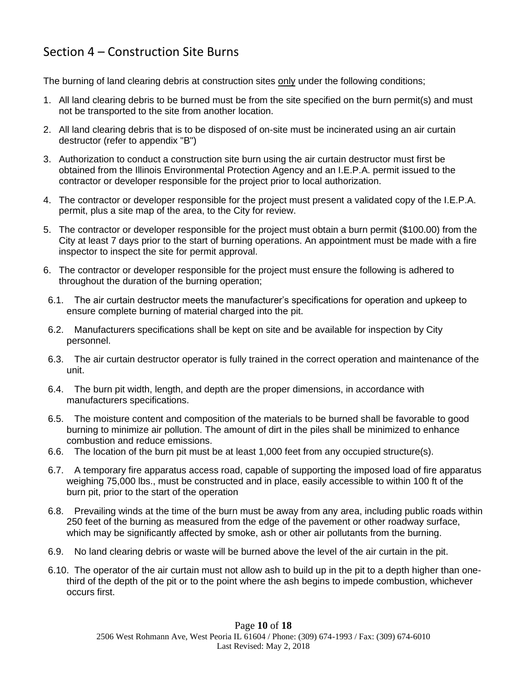# Section 4 – Construction Site Burns

The burning of land clearing debris at construction sites only under the following conditions;

- 1. All land clearing debris to be burned must be from the site specified on the burn permit(s) and must not be transported to the site from another location.
- 2. All land clearing debris that is to be disposed of on-site must be incinerated using an air curtain destructor (refer to appendix "B")
- 3. Authorization to conduct a construction site burn using the air curtain destructor must first be obtained from the Illinois Environmental Protection Agency and an I.E.P.A. permit issued to the contractor or developer responsible for the project prior to local authorization.
- 4. The contractor or developer responsible for the project must present a validated copy of the I.E.P.A. permit, plus a site map of the area, to the City for review.
- 5. The contractor or developer responsible for the project must obtain a burn permit (\$100.00) from the City at least 7 days prior to the start of burning operations. An appointment must be made with a fire inspector to inspect the site for permit approval.
- 6. The contractor or developer responsible for the project must ensure the following is adhered to throughout the duration of the burning operation;
- 6.1. The air curtain destructor meets the manufacturer's specifications for operation and upkeep to ensure complete burning of material charged into the pit.
- 6.2. Manufacturers specifications shall be kept on site and be available for inspection by City personnel.
- 6.3. The air curtain destructor operator is fully trained in the correct operation and maintenance of the unit.
- 6.4. The burn pit width, length, and depth are the proper dimensions, in accordance with manufacturers specifications.
- 6.5. The moisture content and composition of the materials to be burned shall be favorable to good burning to minimize air pollution. The amount of dirt in the piles shall be minimized to enhance combustion and reduce emissions.
- 6.6. The location of the burn pit must be at least 1,000 feet from any occupied structure(s).
- 6.7. A temporary fire apparatus access road, capable of supporting the imposed load of fire apparatus weighing 75,000 lbs., must be constructed and in place, easily accessible to within 100 ft of the burn pit, prior to the start of the operation
- 6.8. Prevailing winds at the time of the burn must be away from any area, including public roads within 250 feet of the burning as measured from the edge of the pavement or other roadway surface, which may be significantly affected by smoke, ash or other air pollutants from the burning.
- 6.9. No land clearing debris or waste will be burned above the level of the air curtain in the pit.
- 6.10. The operator of the air curtain must not allow ash to build up in the pit to a depth higher than onethird of the depth of the pit or to the point where the ash begins to impede combustion, whichever occurs first.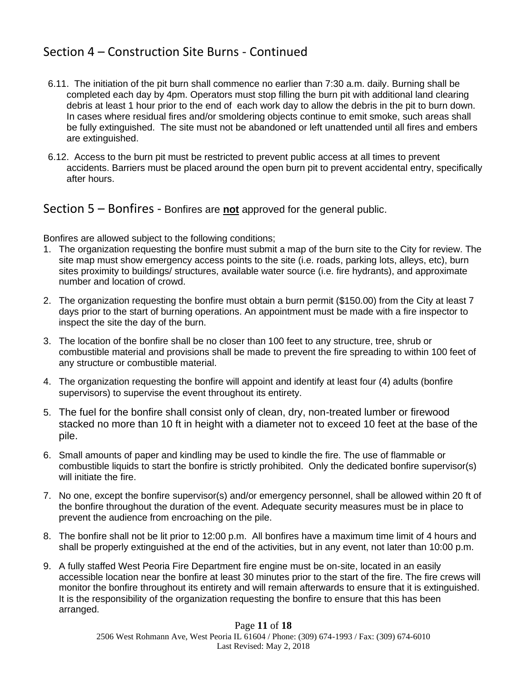### Section 4 – Construction Site Burns - Continued

- 6.11. The initiation of the pit burn shall commence no earlier than 7:30 a.m. daily. Burning shall be completed each day by 4pm. Operators must stop filling the burn pit with additional land clearing debris at least 1 hour prior to the end of each work day to allow the debris in the pit to burn down. In cases where residual fires and/or smoldering objects continue to emit smoke, such areas shall be fully extinguished. The site must not be abandoned or left unattended until all fires and embers are extinguished.
- 6.12. Access to the burn pit must be restricted to prevent public access at all times to prevent accidents. Barriers must be placed around the open burn pit to prevent accidental entry, specifically after hours.

### Section 5 – Bonfires - Bonfires are **not** approved for the general public.

Bonfires are allowed subject to the following conditions;

- 1. The organization requesting the bonfire must submit a map of the burn site to the City for review. The site map must show emergency access points to the site (i.e. roads, parking lots, alleys, etc), burn sites proximity to buildings/ structures, available water source (i.e. fire hydrants), and approximate number and location of crowd.
- 2. The organization requesting the bonfire must obtain a burn permit (\$150.00) from the City at least 7 days prior to the start of burning operations. An appointment must be made with a fire inspector to inspect the site the day of the burn.
- 3. The location of the bonfire shall be no closer than 100 feet to any structure, tree, shrub or combustible material and provisions shall be made to prevent the fire spreading to within 100 feet of any structure or combustible material.
- 4. The organization requesting the bonfire will appoint and identify at least four (4) adults (bonfire supervisors) to supervise the event throughout its entirety.
- 5. The fuel for the bonfire shall consist only of clean, dry, non-treated lumber or firewood stacked no more than 10 ft in height with a diameter not to exceed 10 feet at the base of the pile.
- 6. Small amounts of paper and kindling may be used to kindle the fire. The use of flammable or combustible liquids to start the bonfire is strictly prohibited. Only the dedicated bonfire supervisor(s) will initiate the fire.
- 7. No one, except the bonfire supervisor(s) and/or emergency personnel, shall be allowed within 20 ft of the bonfire throughout the duration of the event. Adequate security measures must be in place to prevent the audience from encroaching on the pile.
- 8. The bonfire shall not be lit prior to 12:00 p.m. All bonfires have a maximum time limit of 4 hours and shall be properly extinguished at the end of the activities, but in any event, not later than 10:00 p.m.
- 9. A fully staffed West Peoria Fire Department fire engine must be on-site, located in an easily accessible location near the bonfire at least 30 minutes prior to the start of the fire. The fire crews will monitor the bonfire throughout its entirety and will remain afterwards to ensure that it is extinguished. It is the responsibility of the organization requesting the bonfire to ensure that this has been arranged.

#### Page **11** of **18** 2506 West Rohmann Ave, West Peoria IL 61604 / Phone: (309) 674-1993 / Fax: (309) 674-6010 Last Revised: May 2, 2018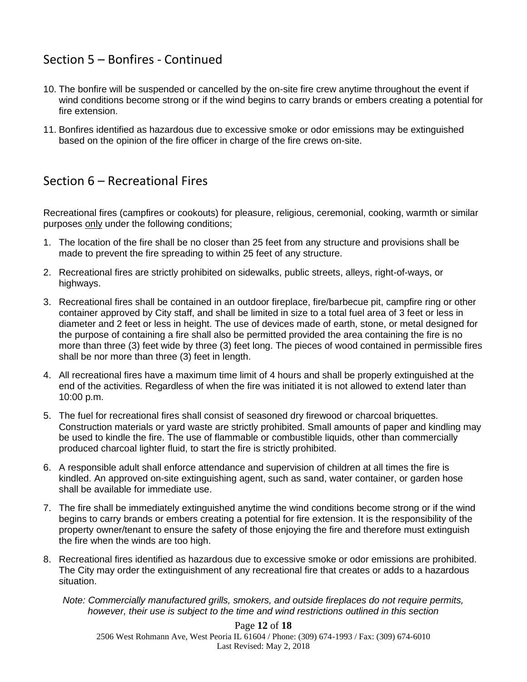# Section 5 – Bonfires - Continued

- 10. The bonfire will be suspended or cancelled by the on-site fire crew anytime throughout the event if wind conditions become strong or if the wind begins to carry brands or embers creating a potential for fire extension.
- 11. Bonfires identified as hazardous due to excessive smoke or odor emissions may be extinguished based on the opinion of the fire officer in charge of the fire crews on-site.

# Section 6 – Recreational Fires

Recreational fires (campfires or cookouts) for pleasure, religious, ceremonial, cooking, warmth or similar purposes only under the following conditions;

- 1. The location of the fire shall be no closer than 25 feet from any structure and provisions shall be made to prevent the fire spreading to within 25 feet of any structure.
- 2. Recreational fires are strictly prohibited on sidewalks, public streets, alleys, right-of-ways, or highways.
- 3. Recreational fires shall be contained in an outdoor fireplace, fire/barbecue pit, campfire ring or other container approved by City staff, and shall be limited in size to a total fuel area of 3 feet or less in diameter and 2 feet or less in height. The use of devices made of earth, stone, or metal designed for the purpose of containing a fire shall also be permitted provided the area containing the fire is no more than three (3) feet wide by three (3) feet long. The pieces of wood contained in permissible fires shall be nor more than three (3) feet in length.
- 4. All recreational fires have a maximum time limit of 4 hours and shall be properly extinguished at the end of the activities. Regardless of when the fire was initiated it is not allowed to extend later than 10:00 p.m.
- 5. The fuel for recreational fires shall consist of seasoned dry firewood or charcoal briquettes. Construction materials or yard waste are strictly prohibited. Small amounts of paper and kindling may be used to kindle the fire. The use of flammable or combustible liquids, other than commercially produced charcoal lighter fluid, to start the fire is strictly prohibited.
- 6. A responsible adult shall enforce attendance and supervision of children at all times the fire is kindled. An approved on-site extinguishing agent, such as sand, water container, or garden hose shall be available for immediate use.
- 7. The fire shall be immediately extinguished anytime the wind conditions become strong or if the wind begins to carry brands or embers creating a potential for fire extension. It is the responsibility of the property owner/tenant to ensure the safety of those enjoying the fire and therefore must extinguish the fire when the winds are too high.
- 8. Recreational fires identified as hazardous due to excessive smoke or odor emissions are prohibited. The City may order the extinguishment of any recreational fire that creates or adds to a hazardous situation.

*Note: Commercially manufactured grills, smokers, and outside fireplaces do not require permits, however, their use is subject to the time and wind restrictions outlined in this section*

# Page **12** of **18**

2506 West Rohmann Ave, West Peoria IL 61604 / Phone: (309) 674-1993 / Fax: (309) 674-6010 Last Revised: May 2, 2018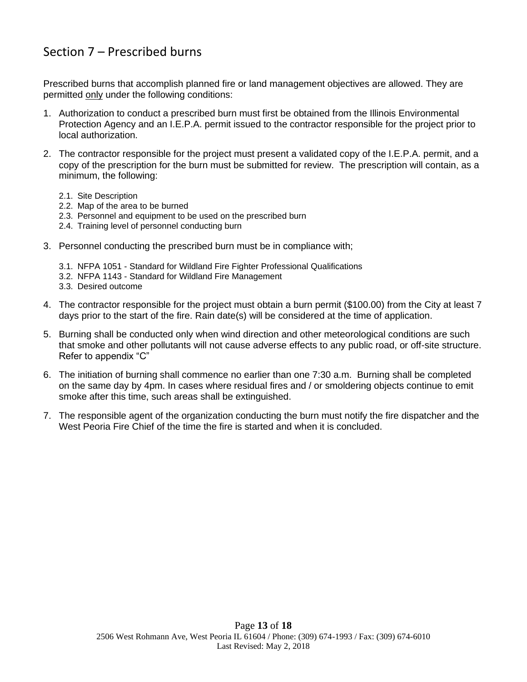# Section 7 – Prescribed burns

Prescribed burns that accomplish planned fire or land management objectives are allowed. They are permitted only under the following conditions:

- 1. Authorization to conduct a prescribed burn must first be obtained from the Illinois Environmental Protection Agency and an I.E.P.A. permit issued to the contractor responsible for the project prior to local authorization.
- 2. The contractor responsible for the project must present a validated copy of the I.E.P.A. permit, and a copy of the prescription for the burn must be submitted for review. The prescription will contain, as a minimum, the following:
	- 2.1. Site Description
	- 2.2. Map of the area to be burned
	- 2.3. Personnel and equipment to be used on the prescribed burn
	- 2.4. Training level of personnel conducting burn
- 3. Personnel conducting the prescribed burn must be in compliance with;
	- 3.1. NFPA 1051 Standard for Wildland Fire Fighter Professional Qualifications
	- 3.2. NFPA 1143 Standard for Wildland Fire Management
	- 3.3. Desired outcome
- 4. The contractor responsible for the project must obtain a burn permit (\$100.00) from the City at least 7 days prior to the start of the fire. Rain date(s) will be considered at the time of application.
- 5. Burning shall be conducted only when wind direction and other meteorological conditions are such that smoke and other pollutants will not cause adverse effects to any public road, or off-site structure. Refer to appendix "C"
- 6. The initiation of burning shall commence no earlier than one 7:30 a.m. Burning shall be completed on the same day by 4pm. In cases where residual fires and / or smoldering objects continue to emit smoke after this time, such areas shall be extinguished.
- 7. The responsible agent of the organization conducting the burn must notify the fire dispatcher and the West Peoria Fire Chief of the time the fire is started and when it is concluded.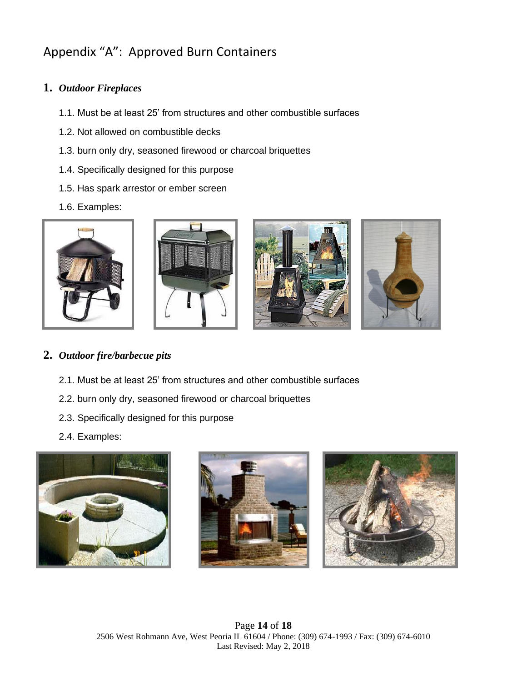# Appendix "A": Approved Burn Containers

### **1.** *Outdoor Fireplaces*

- 1.1. Must be at least 25' from structures and other combustible surfaces
- 1.2. Not allowed on combustible decks
- 1.3. burn only dry, seasoned firewood or charcoal briquettes
- 1.4. Specifically designed for this purpose
- 1.5. Has spark arrestor or ember screen
- 1.6. Examples:



### **2.** *Outdoor fire/barbecue pits*

- 2.1. Must be at least 25' from structures and other combustible surfaces
- 2.2. burn only dry, seasoned firewood or charcoal briquettes
- 2.3. Specifically designed for this purpose
- 2.4. Examples:





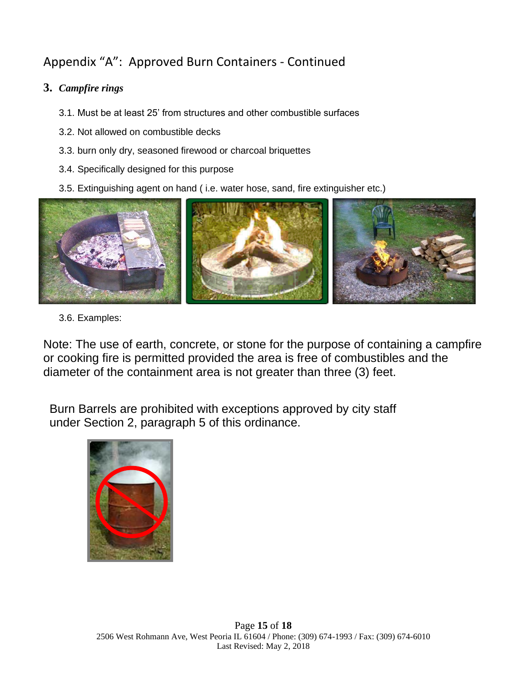# Appendix "A": Approved Burn Containers - Continued

### **3.** *Campfire rings*

- 3.1. Must be at least 25' from structures and other combustible surfaces
- 3.2. Not allowed on combustible decks
- 3.3. burn only dry, seasoned firewood or charcoal briquettes
- 3.4. Specifically designed for this purpose
- 3.5. Extinguishing agent on hand ( i.e. water hose, sand, fire extinguisher etc.)



3.6. Examples:

Note: The use of earth, concrete, or stone for the purpose of containing a campfire or cooking fire is permitted provided the area is free of combustibles and the diameter of the containment area is not greater than three (3) feet.

Burn Barrels are prohibited with exceptions approved by city staff under Section 2, paragraph 5 of this ordinance.

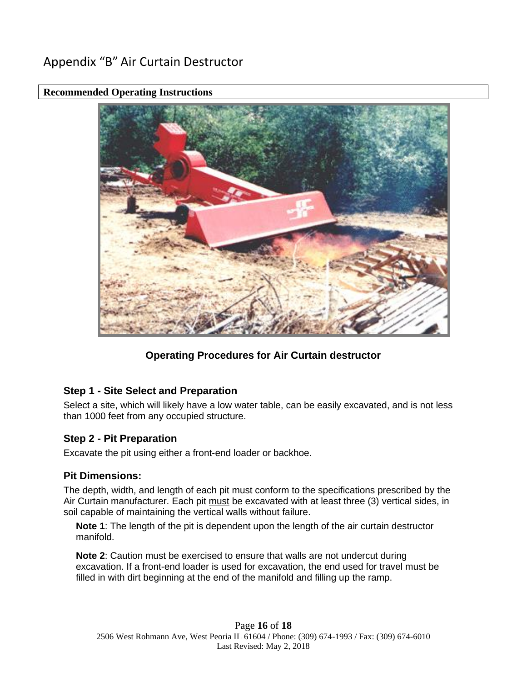# Appendix "B" Air Curtain Destructor



### **Recommended Operating Instructions**

### **Operating Procedures for Air Curtain destructor**

### **Step 1 - Site Select and Preparation**

Select a site, which will likely have a low water table, can be easily excavated, and is not less than 1000 feet from any occupied structure.

#### **Step 2 - Pit Preparation**

Excavate the pit using either a front-end loader or backhoe.

### **Pit Dimensions:**

The depth, width, and length of each pit must conform to the specifications prescribed by the Air Curtain manufacturer. Each pit must be excavated with at least three (3) vertical sides, in soil capable of maintaining the vertical walls without failure.

**Note 1**: The length of the pit is dependent upon the length of the air curtain destructor manifold.

**Note 2**: Caution must be exercised to ensure that walls are not undercut during excavation. If a front-end loader is used for excavation, the end used for travel must be filled in with dirt beginning at the end of the manifold and filling up the ramp.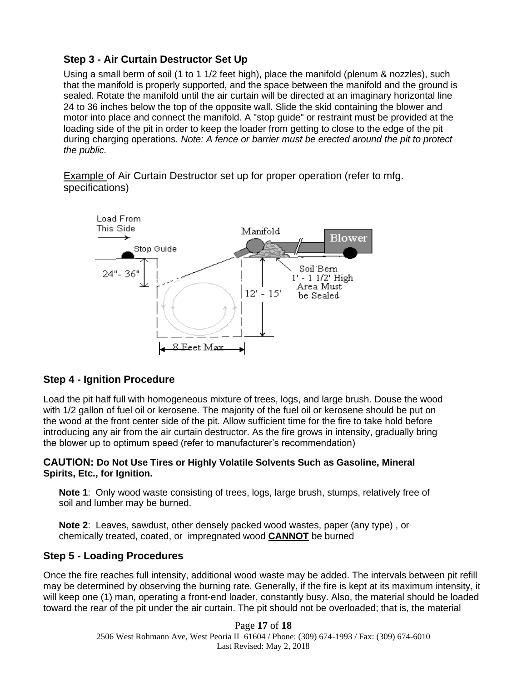### **Step 3 - Air Curtain Destructor Set Up**

Using a small berm of soil (1 to 1 1/2 feet high), place the manifold (plenum & nozzles), such that the manifold is properly supported, and the space between the manifold and the ground is sealed. Rotate the manifold until the air curtain will be directed at an imaginary horizontal line 24 to 36 inches below the top of the opposite wall. Slide the skid containing the blower and motor into place and connect the manifold. A "stop guide" or restraint must be provided at the loading side of the pit in order to keep the loader from getting to close to the edge of the pit during charging operations*. Note: A fence or barrier must be erected around the pit to protect the public.*

Example of Air Curtain Destructor set up for proper operation (refer to mfg. specifications)



### **Step 4 - Ignition Procedure**

Load the pit half full with homogeneous mixture of trees, logs, and large brush. Douse the wood with 1/2 gallon of fuel oil or kerosene. The majority of the fuel oil or kerosene should be put on the wood at the front center side of the pit. Allow sufficient time for the fire to take hold before introducing any air from the air curtain destructor. As the fire grows in intensity, gradually bring the blower up to optimum speed (refer to manufacturer's recommendation)

#### **CAUTION: Do Not Use Tires or Highly Volatile Solvents Such as Gasoline, Mineral Spirits, Etc., for Ignition.**

**Note 1**: Only wood waste consisting of trees, logs, large brush, stumps, relatively free of soil and lumber may be burned.

**Note 2**: Leaves, sawdust, other densely packed wood wastes, paper (any type) , or chemically treated, coated, or impregnated wood **CANNOT** be burned

### **Step 5 - Loading Procedures**

Once the fire reaches full intensity, additional wood waste may be added. The intervals between pit refill may be determined by observing the burning rate. Generally, if the fire is kept at its maximum intensity, it will keep one (1) man, operating a front-end loader, constantly busy. Also, the material should be loaded toward the rear of the pit under the air curtain. The pit should not be overloaded; that is, the material

> Page **17** of **18** 2506 West Rohmann Ave, West Peoria IL 61604 / Phone: (309) 674-1993 / Fax: (309) 674-6010 Last Revised: May 2, 2018